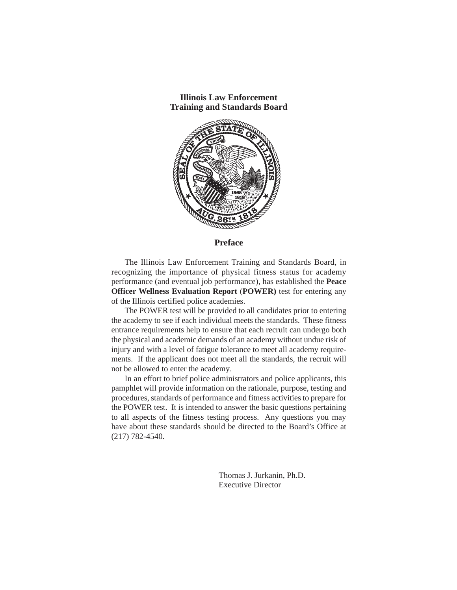

**Preface**

The Illinois Law Enforcement Training and Standards Board, in recognizing the importance of physical fitness status for academy performance (and eventual job performance), has established the **Peace Officer Wellness Evaluation Report** (**POWER)** test for entering any of the Illinois certified police academies.

The POWER test will be provided to all candidates prior to entering the academy to see if each individual meets the standards. These fitness entrance requirements help to ensure that each recruit can undergo both the physical and academic demands of an academy without undue risk of injury and with a level of fatigue tolerance to meet all academy requirements. If the applicant does not meet all the standards, the recruit will not be allowed to enter the academy.

In an effort to brief police administrators and police applicants, this pamphlet will provide information on the rationale, purpose, testing and procedures, standards of performance and fitness activities to prepare for the POWER test. It is intended to answer the basic questions pertaining to all aspects of the fitness testing process. Any questions you may have about these standards should be directed to the Board's Office at (217) 782-4540.

> Thomas J. Jurkanin, Ph.D. Executive Director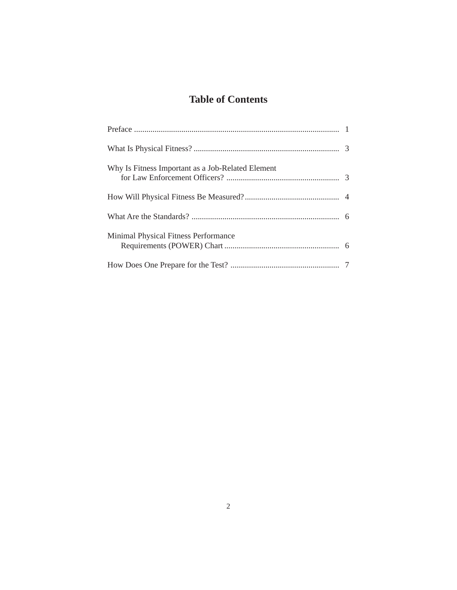# **Table of Contents**

| Why Is Fitness Important as a Job-Related Element |  |
|---------------------------------------------------|--|
|                                                   |  |
|                                                   |  |
| Minimal Physical Fitness Performance              |  |
|                                                   |  |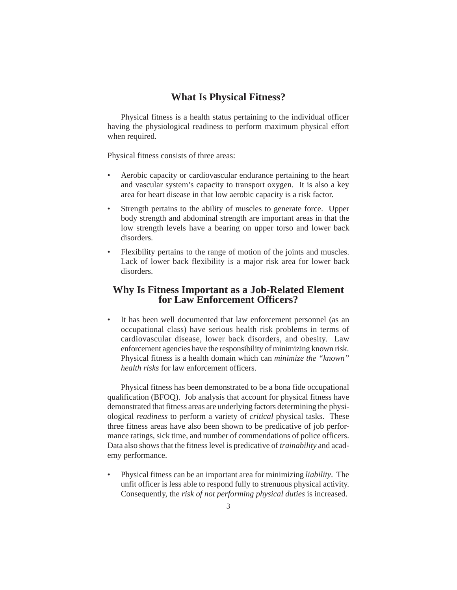## **What Is Physical Fitness?**

Physical fitness is a health status pertaining to the individual officer having the physiological readiness to perform maximum physical effort when required.

Physical fitness consists of three areas:

- Aerobic capacity or cardiovascular endurance pertaining to the heart and vascular system's capacity to transport oxygen. It is also a key area for heart disease in that low aerobic capacity is a risk factor.
- Strength pertains to the ability of muscles to generate force. Upper body strength and abdominal strength are important areas in that the low strength levels have a bearing on upper torso and lower back disorders.
- Flexibility pertains to the range of motion of the joints and muscles. Lack of lower back flexibility is a major risk area for lower back disorders.

### **Why Is Fitness Important as a Job-Related Element for Law Enforcement Officers?**

• It has been well documented that law enforcement personnel (as an occupational class) have serious health risk problems in terms of cardiovascular disease, lower back disorders, and obesity. Law enforcement agencies have the responsibility of minimizing known risk. Physical fitness is a health domain which can *minimize the "known" health risks* for law enforcement officers.

Physical fitness has been demonstrated to be a bona fide occupational qualification (BFOQ). Job analysis that account for physical fitness have demonstrated that fitness areas are underlying factors determining the physiological *readiness* to perform a variety of *critical* physical tasks. These three fitness areas have also been shown to be predicative of job performance ratings, sick time, and number of commendations of police officers. Data also shows that the fitness level is predicative of *trainability* and academy performance.

• Physical fitness can be an important area for minimizing *liability*. The unfit officer is less able to respond fully to strenuous physical activity. Consequently, the *risk of not performing physical duties* is increased.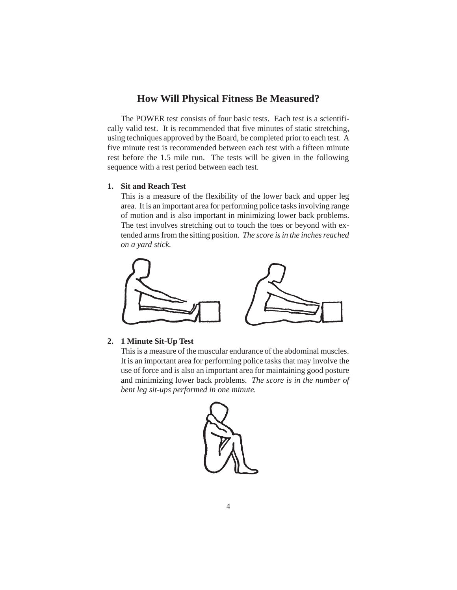# **How Will Physical Fitness Be Measured?**

The POWER test consists of four basic tests. Each test is a scientifically valid test. It is recommended that five minutes of static stretching, using techniques approved by the Board, be completed prior to each test. A five minute rest is recommended between each test with a fifteen minute rest before the 1.5 mile run. The tests will be given in the following sequence with a rest period between each test.

#### **1. Sit and Reach Test**

This is a measure of the flexibility of the lower back and upper leg area. It is an important area for performing police tasks involving range of motion and is also important in minimizing lower back problems. The test involves stretching out to touch the toes or beyond with extended arms from the sitting position. *The score is in the inches reached on a yard stick.*



### **2. 1 Minute Sit-Up Test**

This is a measure of the muscular endurance of the abdominal muscles. It is an important area for performing police tasks that may involve the use of force and is also an important area for maintaining good posture and minimizing lower back problems. *The score is in the number of bent leg sit-ups performed in one minute.*

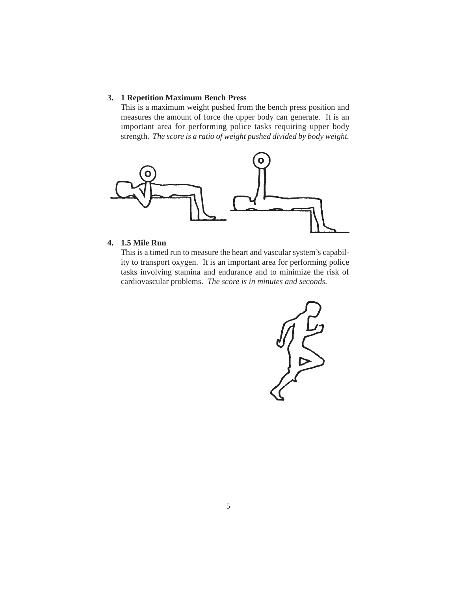### **3. 1 Repetition Maximum Bench Press**

This is a maximum weight pushed from the bench press position and measures the amount of force the upper body can generate. It is an important area for performing police tasks requiring upper body strength. *The score is a ratio of weight pushed divided by body weight.*



### **4. 1.5 Mile Run**

This is a timed run to measure the heart and vascular system's capability to transport oxygen. It is an important area for performing police tasks involving stamina and endurance and to minimize the risk of cardiovascular problems. *The score is in minutes and seconds.*

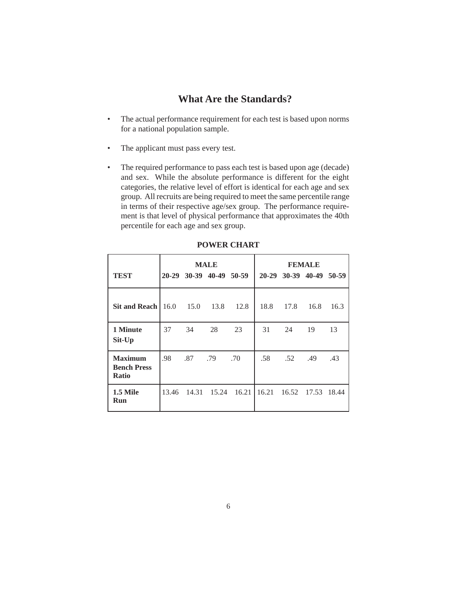# **What Are the Standards?**

- The actual performance requirement for each test is based upon norms for a national population sample.
- The applicant must pass every test.
- The required performance to pass each test is based upon age (decade) and sex. While the absolute performance is different for the eight categories, the relative level of effort is identical for each age and sex group. All recruits are being required to meet the same percentile range in terms of their respective age/sex group. The performance requirement is that level of physical performance that approximates the 40th percentile for each age and sex group.

|                                                      | <b>MALE</b> |       |                         |       | <b>FEMALE</b> |             |                         |       |
|------------------------------------------------------|-------------|-------|-------------------------|-------|---------------|-------------|-------------------------|-------|
| <b>TEST</b>                                          |             |       | 20-29 30-39 40-49 50-59 |       |               |             | 20-29 30-39 40-49 50-59 |       |
| Sit and Reach $\vert$ 16.0                           |             | 15.0  | 13.8                    | 12.8  | 18.8          | 17.8        | 16.8                    | 16.3  |
| 1 Minute<br>Sit-Up                                   | 37          | 34    | 28                      | 23    | 31            | 24          | 19                      | 13    |
| <b>Maximum</b><br><b>Bench Press</b><br><b>Ratio</b> | .98         | .87   | .79                     | .70   | .58           | .52         | .49                     | .43   |
| 1.5 Mile<br>Run                                      | 13.46       | 14.31 | 15.24                   | 16.21 | 16.21         | 16.52 17.53 |                         | 18.44 |

#### **POWER CHART**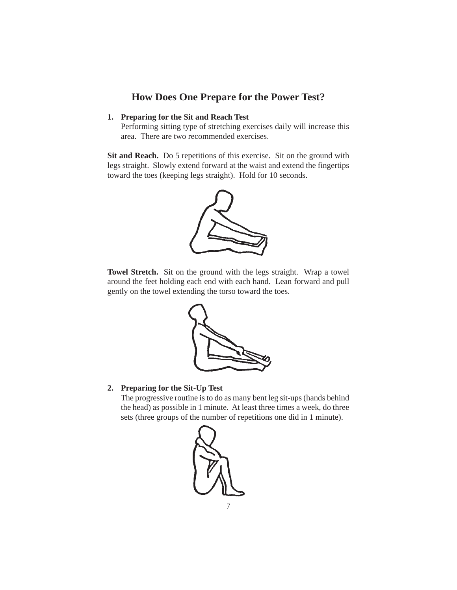# **How Does One Prepare for the Power Test?**

### **1. Preparing for the Sit and Reach Test**

Performing sitting type of stretching exercises daily will increase this area. There are two recommended exercises.

**Sit and Reach.** Do 5 repetitions of this exercise. Sit on the ground with legs straight. Slowly extend forward at the waist and extend the fingertips toward the toes (keeping legs straight). Hold for 10 seconds.



**Towel Stretch.** Sit on the ground with the legs straight. Wrap a towel around the feet holding each end with each hand. Lean forward and pull gently on the towel extending the torso toward the toes.



#### **2. Preparing for the Sit-Up Test**

The progressive routine is to do as many bent leg sit-ups (hands behind the head) as possible in 1 minute. At least three times a week, do three sets (three groups of the number of repetitions one did in 1 minute).